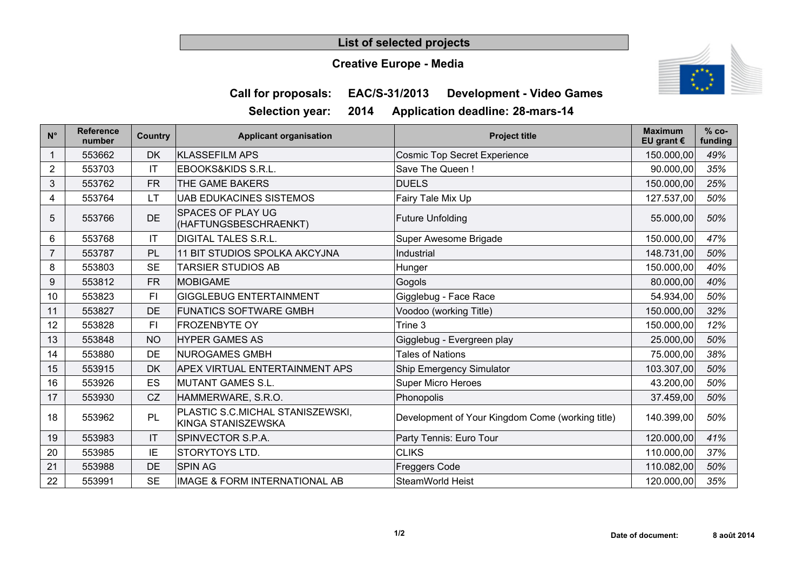## **List of selected projects**

## **Creative Europe - Media**



**Call for proposals: EAC/S-31/2013 Development - Video Games**

**Selection year: 2014 Application deadline: 28-mars-14**

| $N^{\circ}$    | <b>Reference</b><br>number | Country                | <b>Applicant organisation</b>                          | <b>Project title</b>                             | <b>Maximum</b><br>EU grant $\epsilon$ | $% co-$<br>funding |
|----------------|----------------------------|------------------------|--------------------------------------------------------|--------------------------------------------------|---------------------------------------|--------------------|
|                | 553662                     | <b>DK</b>              | <b>KLASSEFILM APS</b>                                  | <b>Cosmic Top Secret Experience</b>              | 150.000,00                            | 49%                |
| $\overline{c}$ | 553703                     | $\mathsf{I}\mathsf{T}$ | EBOOKS&KIDS S.R.L.                                     | Save The Queen!                                  | 90.000,00                             | 35%                |
| 3              | 553762                     | <b>FR</b>              | THE GAME BAKERS                                        | <b>DUELS</b>                                     | 150.000,00                            | 25%                |
| 4              | 553764                     | <b>LT</b>              | <b>UAB EDUKACINES SISTEMOS</b>                         | Fairy Tale Mix Up                                | 127.537,00                            | 50%                |
| 5              | 553766                     | DE                     | <b>SPACES OF PLAY UG</b><br>(HAFTUNGSBESCHRAENKT)      | <b>Future Unfolding</b>                          | 55.000,00                             | 50%                |
| 6              | 553768                     | IT                     | <b>DIGITAL TALES S.R.L.</b>                            | Super Awesome Brigade                            | 150.000,00                            | 47%                |
|                | 553787                     | PL                     | 11 BIT STUDIOS SPOLKA AKCYJNA                          | Industrial                                       | 148.731,00                            | 50%                |
| 8              | 553803                     | <b>SE</b>              | <b>TARSIER STUDIOS AB</b>                              | Hunger                                           | 150.000,00                            | 40%                |
| 9              | 553812                     | FR.                    | <b>MOBIGAME</b>                                        | Gogols                                           | 80.000,00                             | 40%                |
| 10             | 553823                     | FI                     | <b>GIGGLEBUG ENTERTAINMENT</b>                         | Gigglebug - Face Race                            | 54.934,00                             | 50%                |
| 11             | 553827                     | DE                     | <b>FUNATICS SOFTWARE GMBH</b>                          | Voodoo (working Title)                           | 150.000,00                            | 32%                |
| 12             | 553828                     | FI                     | <b>FROZENBYTE OY</b>                                   | Trine 3                                          | 150.000,00                            | 12%                |
| 13             | 553848                     | <b>NO</b>              | <b>HYPER GAMES AS</b>                                  | Gigglebug - Evergreen play                       | 25.000,00                             | 50%                |
| 14             | 553880                     | DE                     | <b>NUROGAMES GMBH</b>                                  | Tales of Nations                                 | 75.000,00                             | 38%                |
| 15             | 553915                     | <b>DK</b>              | <b>APEX VIRTUAL ENTERTAINMENT APS</b>                  | <b>Ship Emergency Simulator</b>                  | 103.307,00                            | 50%                |
| 16             | 553926                     | ES                     | <b>MUTANT GAMES S.L.</b>                               | <b>Super Micro Heroes</b>                        | 43.200,00                             | 50%                |
| 17             | 553930                     | CZ                     | HAMMERWARE, S.R.O.                                     | Phonopolis                                       | 37.459,00                             | 50%                |
| 18             | 553962                     | PL                     | PLASTIC S.C.MICHAL STANISZEWSKI,<br>KINGA STANISZEWSKA | Development of Your Kingdom Come (working title) | 140.399,00                            | 50%                |
| 19             | 553983                     | IT                     | SPINVECTOR S.P.A.                                      | Party Tennis: Euro Tour                          | 120.000,00                            | 41%                |
| 20             | 553985                     | IE                     | STORYTOYS LTD.                                         | <b>CLIKS</b>                                     | 110.000,00                            | 37%                |
| 21             | 553988                     | DE                     | <b>SPIN AG</b>                                         | <b>Freggers Code</b>                             | 110.082,00                            | 50%                |
| 22             | 553991                     | <b>SE</b>              | IMAGE & FORM INTERNATIONAL AB                          | SteamWorld Heist                                 | 120.000,00                            | 35%                |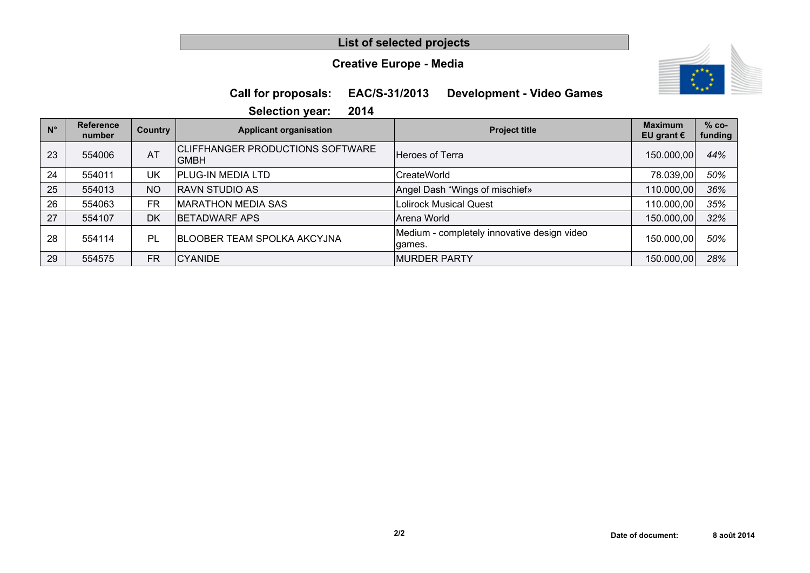## **List of selected projects**

## **Creative Europe - Media**



## **Call for proposals: EAC/S-31/2013 Development - Video Games**

**Selection year: 2014**

| $N^{\circ}$ | <b>Reference</b><br>number | Country   | <b>Applicant organisation</b>                          | <b>Project title</b>                                  | <b>Maximum</b><br>EU grant $\epsilon$ | $% co-$<br>funding |
|-------------|----------------------------|-----------|--------------------------------------------------------|-------------------------------------------------------|---------------------------------------|--------------------|
| 23          | 554006                     | AT        | <b>CLIFFHANGER PRODUCTIONS SOFTWARE</b><br><b>GMBH</b> | Heroes of Terra                                       | 150.000,00                            | 44%                |
| 24          | 554011                     | UK        | <b>PLUG-IN MEDIA LTD</b>                               | CreateWorld                                           | 78.039,00                             | 50%                |
| 25          | 554013                     | <b>NO</b> | <b>RAVN STUDIO AS</b>                                  | Angel Dash "Wings of mischief»                        | 110.000,00                            | 36%                |
| 26          | 554063                     | <b>FR</b> | MARATHON MEDIA SAS                                     | <b>Lolirock Musical Quest</b>                         | 110.000,00                            | 35%                |
| 27          | 554107                     | <b>DK</b> | <b>BETADWARF APS</b>                                   | Arena World                                           | 150.000,00                            | 32%                |
| 28          | 554114                     | PL        | <b>BLOOBER TEAM SPOLKA AKCYJNA</b>                     | Medium - completely innovative design video<br>qames. | 150.000,00                            | 50%                |
| 29          | 554575                     | FR        | <b>CYANIDE</b>                                         | <b>MURDER PARTY</b>                                   | 150.000,00                            | 28%                |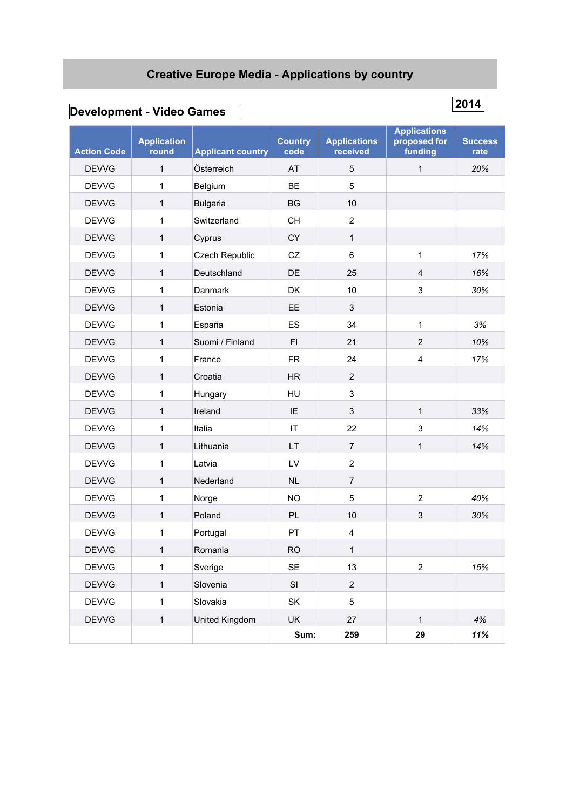# **Creative Europe Media - Applications by country**

# **Development - Video Games**

| <b>Action Code</b> | <b>Application</b><br>round | <b>Applicant country</b> | <b>Country</b><br>code | <b>Applications</b><br>received | <b>Applications</b><br>proposed for<br>funding | <b>Success</b><br>rate |
|--------------------|-----------------------------|--------------------------|------------------------|---------------------------------|------------------------------------------------|------------------------|
| <b>DEVVG</b>       | $\mathbf{1}$                | Österreich               | AT                     | $\sqrt{5}$                      | $\mathbf{1}$                                   | 20%                    |
| <b>DEVVG</b>       | 1                           | Belgium                  | <b>BE</b>              | 5                               |                                                |                        |
| <b>DEVVG</b>       | 1                           | <b>Bulgaria</b>          | <b>BG</b>              | 10                              |                                                |                        |
| <b>DEVVG</b>       | 1                           | Switzerland              | <b>CH</b>              | $\overline{2}$                  |                                                |                        |
| <b>DEVVG</b>       | 1                           | Cyprus                   | CY                     | 1                               |                                                |                        |
| <b>DEVVG</b>       | 1                           | Czech Republic           | CZ                     | $\,6$                           | 1                                              | 17%                    |
| <b>DEVVG</b>       | 1                           | Deutschland              | DE                     | 25                              | $\overline{\mathbf{4}}$                        | 16%                    |
| <b>DEVVG</b>       | 1                           | Danmark                  | DK                     | 10                              | 3                                              | 30%                    |
| <b>DEVVG</b>       | 1                           | Estonia                  | EE                     | $\mathfrak{Z}$                  |                                                |                        |
| <b>DEVVG</b>       | 1                           | España                   | ES                     | 34                              | 1                                              | 3%                     |
| <b>DEVVG</b>       | 1                           | Suomi / Finland          | F1                     | 21                              | $\overline{2}$                                 | 10%                    |
| <b>DEVVG</b>       | 1                           | France                   | <b>FR</b>              | 24                              | 4                                              | 17%                    |
| <b>DEVVG</b>       | 1                           | Croatia                  | HR                     | $\overline{2}$                  |                                                |                        |
| <b>DEVVG</b>       | 1                           | Hungary                  | HU                     | $\mathsf 3$                     |                                                |                        |
| <b>DEVVG</b>       | 1                           | Ireland                  | IE                     | $\mathsf 3$                     | 1                                              | 33%                    |
| <b>DEVVG</b>       | 1                           | Italia                   | IT                     | 22                              | 3                                              | 14%                    |
| <b>DEVVG</b>       | 1                           | Lithuania                | <b>LT</b>              | $\overline{7}$                  | $\mathbf{1}$                                   | 14%                    |
| <b>DEVVG</b>       | 1                           | Latvia                   | LV                     | $\sqrt{2}$                      |                                                |                        |
| <b>DEVVG</b>       | $\mathbf{1}$                | Nederland                | <b>NL</b>              | $\overline{7}$                  |                                                |                        |
| <b>DEVVG</b>       | 1                           | Norge                    | <b>NO</b>              | $\sqrt{5}$                      | $\overline{2}$                                 | 40%                    |
| <b>DEVVG</b>       | 1                           | Poland                   | PL                     | 10                              | $\ensuremath{\mathsf{3}}$                      | 30%                    |
| <b>DEVVG</b>       | 1                           | Portugal                 | PT                     | $\overline{\mathbf{4}}$         |                                                |                        |
| <b>DEVVG</b>       | 1                           | Romania                  | <b>RO</b>              | $\mathbf{1}$                    |                                                |                        |
| <b>DEVVG</b>       | 1                           | Sverige                  | SE                     | 13                              | $\mathbf 2$                                    | 15%                    |
| <b>DEVVG</b>       | $\mathbf{1}$                | Slovenia                 | $\mathsf{SI}$          | $\sqrt{2}$                      |                                                |                        |
| <b>DEVVG</b>       | $\mathbf{1}$                | Slovakia                 | SK                     | $\sqrt{5}$                      |                                                |                        |
| <b>DEVVG</b>       | $\mathbf{1}$                | United Kingdom           | UK                     | 27                              | $\mathbf{1}$                                   | 4%                     |
|                    |                             |                          | Sum:                   | 259                             | 29                                             | 11%                    |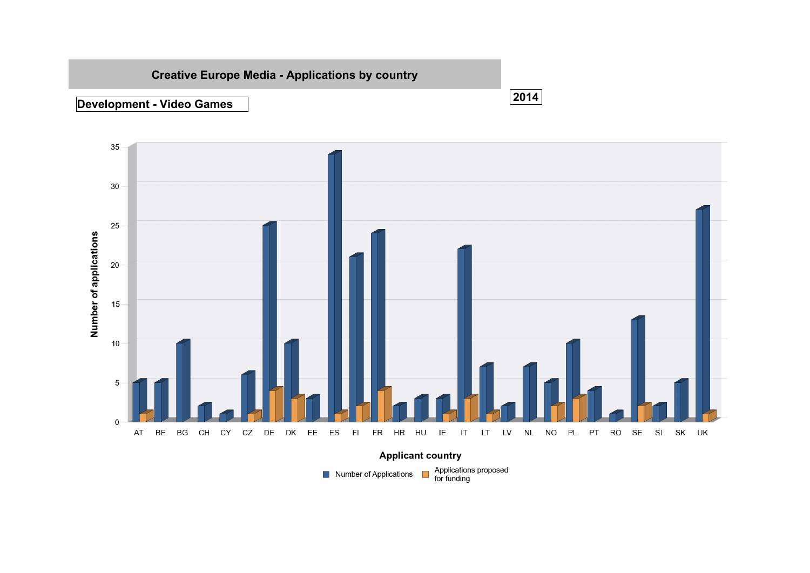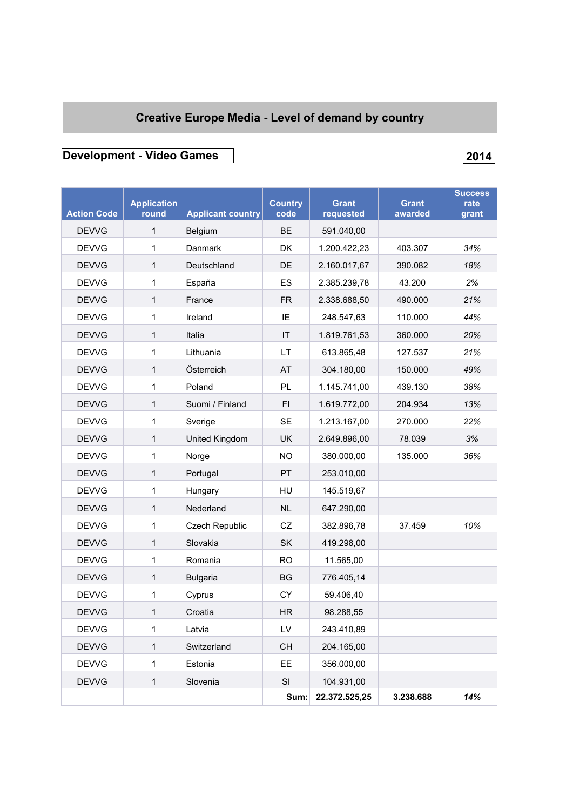# **Creative Europe Media - Level of demand by country**

# **Development - Video Games 2014**

| <b>Action Code</b> | <b>Application</b><br>round | <b>Applicant country</b> | <b>Country</b><br>code | <b>Grant</b><br>requested | <b>Grant</b><br>awarded | <b>Success</b><br>rate<br>grant |
|--------------------|-----------------------------|--------------------------|------------------------|---------------------------|-------------------------|---------------------------------|
| <b>DEVVG</b>       | 1                           | Belgium                  | <b>BE</b>              | 591.040,00                |                         |                                 |
| <b>DEVVG</b>       | 1                           | Danmark                  | <b>DK</b>              | 1.200.422,23              | 403.307                 | 34%                             |
| <b>DEVVG</b>       | 1                           | Deutschland              | DE                     | 2.160.017,67              | 390.082                 | 18%                             |
| <b>DEVVG</b>       | 1                           | España                   | ES                     | 2.385.239,78              | 43.200                  | 2%                              |
| <b>DEVVG</b>       | 1                           | France                   | <b>FR</b>              | 2.338.688,50              | 490.000                 | 21%                             |
| <b>DEVVG</b>       | 1                           | Ireland                  | IE                     | 248.547,63                | 110.000                 | 44%                             |
| <b>DEVVG</b>       | 1                           | Italia                   | IT                     | 1.819.761,53              | 360.000                 | 20%                             |
| <b>DEVVG</b>       | 1                           | Lithuania                | LT                     | 613.865,48                | 127.537                 | 21%                             |
| <b>DEVVG</b>       | 1                           | Österreich               | AT                     | 304.180,00                | 150.000                 | 49%                             |
| <b>DEVVG</b>       | 1                           | Poland                   | PL                     | 1.145.741,00              | 439.130                 | 38%                             |
| <b>DEVVG</b>       | 1                           | Suomi / Finland          | FI.                    | 1.619.772,00              | 204.934                 | 13%                             |
| <b>DEVVG</b>       | 1                           | Sverige                  | <b>SE</b>              | 1.213.167,00              | 270.000                 | 22%                             |
| <b>DEVVG</b>       | 1                           | United Kingdom           | <b>UK</b>              | 2.649.896,00              | 78.039                  | 3%                              |
| <b>DEVVG</b>       | 1                           | Norge                    | <b>NO</b>              | 380.000,00                | 135.000                 | 36%                             |
| <b>DEVVG</b>       | 1                           | Portugal                 | <b>PT</b>              | 253.010,00                |                         |                                 |
| <b>DEVVG</b>       | 1                           | Hungary                  | HU                     | 145.519,67                |                         |                                 |
| <b>DEVVG</b>       | 1                           | Nederland                | <b>NL</b>              | 647.290,00                |                         |                                 |
| <b>DEVVG</b>       | 1                           | Czech Republic           | CZ                     | 382.896,78                | 37.459                  | 10%                             |
| <b>DEVVG</b>       | 1                           | Slovakia                 | <b>SK</b>              | 419.298,00                |                         |                                 |
| <b>DEVVG</b>       | 1                           | Romania                  | <b>RO</b>              | 11.565,00                 |                         |                                 |
| <b>DEVVG</b>       | 1                           | <b>Bulgaria</b>          | BG                     | 776.405,14                |                         |                                 |
| <b>DEVVG</b>       | 1                           | Cyprus                   | СY                     | 59.406,40                 |                         |                                 |
| <b>DEVVG</b>       | 1                           | Croatia                  | <b>HR</b>              | 98.288,55                 |                         |                                 |
| <b>DEVVG</b>       | 1                           | Latvia                   | LV                     | 243.410,89                |                         |                                 |
| <b>DEVVG</b>       | $\mathbf{1}$                | Switzerland              | CH                     | 204.165,00                |                         |                                 |
| <b>DEVVG</b>       | 1                           | Estonia                  | EE.                    | 356.000,00                |                         |                                 |
| <b>DEVVG</b>       | $\mathbf{1}$                | Slovenia                 | SI                     | 104.931,00                |                         |                                 |
|                    |                             |                          | Sum:                   | 22.372.525,25             | 3.238.688               | 14%                             |